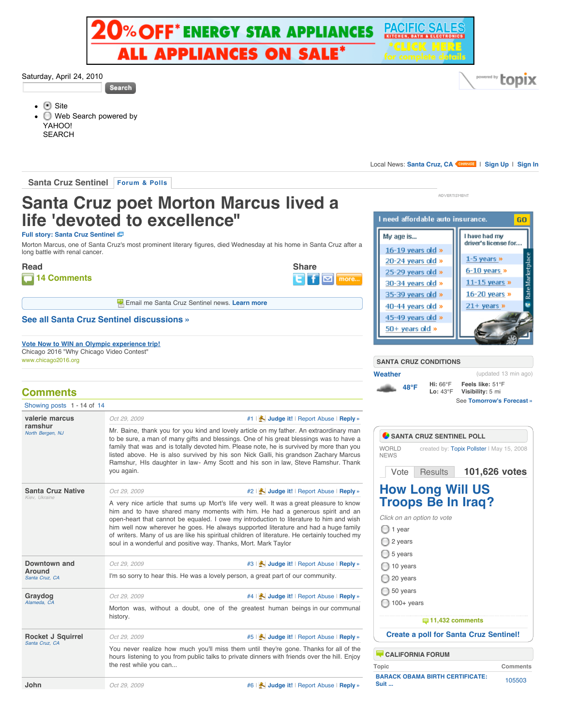

## Saturday, April 24, 2010

**Search** 

**Site** Web Search powered by YAHOO! **SEARCH** 

Local News: [Santa Cruz, CA](http://www.topix.net/localnews) <BRANGE | [Sign Up](http://www.topix.net/member/register) | [Sign In](http://www.topix.net/member/login)

**ADVERTISMENT** 

I need affordable auto insurance.

My age is...

16-19 vears old »

20-24 years old » 25-29 years old »

30-34 years old » 35-39 years old »

40-44 years old »

45-49 years old » 50+ years old »

**Santa Cruz Sentinel [Forum & Polls](http://www.topix.net/forum/source/santa-cruz-sentinel)**

## **Santa Cruz poet Morton Marcus lived a life 'devoted to excellence"**

**[Full story: Santa Cruz Sentinel](http://www.santacruzsentinel.com/localnews/ci_13666739)**

Morton Marcus, one of Santa Cruz's most prominent literary figures, died Wednesday at his home in Santa Cruz after a long battle with renal cancer.

**Read  [14 Comments](http://www.topix.net/forum/source/santa-cruz-sentinel/TQHE5ROARCB3QJS4C#comments)**

| <b>Share</b> |   |
|--------------|---|
|              | m |

**E.** Email me Santa Cruz Sentinel news. [Learn more](http://www.topix.net/alerts/subscribe-node/source/santa-cruz-sentinel)

## **[See all Santa Cruz Sentinel discussions »](http://www.topix.net/forum/source/santa-cruz-sentinel)**

**[Vote Now to WIN an Olympic experience trip!](http://www.chicago2016.org/contest/entries.aspx)** Chicago 2016 "Why Chicago Video Contest" www.chicago2016.org

## [Showing posts](http://www.topix.net/forum/source/santa-cruz-sentinel/TQHE5ROARCB3QJS4C) 1 - 14 of [14](http://www.topix.net/forum/source/santa-cruz-sentinel/TQHE5ROARCB3QJS4C#lastPost) *Oct 29, 2009* [#1](http://www.topix.net/forum/source/santa-cruz-sentinel/TQHE5ROARCB3QJS4C/post1) | **[Judge it!](http://www.topix.net/forum/source/santa-cruz-sentinel/TQHE5ROARCB3QJS4C#)** | [Report Abuse](http://www.topix.net/forum/source/santa-cruz-sentinel/TQHE5ROARCB3QJS4C#) | **[Reply »](http://www.topix.net/forum/source/santa-cruz-sentinel/TQHE5ROARCB3QJS4C#)** *Oct 29, 2009* [#2](http://www.topix.net/forum/source/santa-cruz-sentinel/TQHE5ROARCB3QJS4C/post2) | **[Judge it!](http://www.topix.net/forum/source/santa-cruz-sentinel/TQHE5ROARCB3QJS4C#)** | [Report Abuse](http://www.topix.net/forum/source/santa-cruz-sentinel/TQHE5ROARCB3QJS4C#) | **[Reply »](http://www.topix.net/forum/source/santa-cruz-sentinel/TQHE5ROARCB3QJS4C#)** *Oct 29, 2009* [#3](http://www.topix.net/forum/source/santa-cruz-sentinel/TQHE5ROARCB3QJS4C/post3) | **[Judge it!](http://www.topix.net/forum/source/santa-cruz-sentinel/TQHE5ROARCB3QJS4C#)** | [Report Abuse](http://www.topix.net/forum/source/santa-cruz-sentinel/TQHE5ROARCB3QJS4C#) | **[Reply »](http://www.topix.net/forum/source/santa-cruz-sentinel/TQHE5ROARCB3QJS4C#)** *Oct 29, 2009* [#4](http://www.topix.net/forum/source/santa-cruz-sentinel/TQHE5ROARCB3QJS4C/post4) | **[Judge it!](http://www.topix.net/forum/source/santa-cruz-sentinel/TQHE5ROARCB3QJS4C#)** | [Report Abuse](http://www.topix.net/forum/source/santa-cruz-sentinel/TQHE5ROARCB3QJS4C#) | **[Reply »](http://www.topix.net/forum/source/santa-cruz-sentinel/TQHE5ROARCB3QJS4C#)** *Oct 29, 2009* [#5](http://www.topix.net/forum/source/santa-cruz-sentinel/TQHE5ROARCB3QJS4C/post5) | **[Judge it!](http://www.topix.net/forum/source/santa-cruz-sentinel/TQHE5ROARCB3QJS4C#)** | [Report Abuse](http://www.topix.net/forum/source/santa-cruz-sentinel/TQHE5ROARCB3QJS4C#) | **[Reply »](http://www.topix.net/forum/source/santa-cruz-sentinel/TQHE5ROARCB3QJS4C#)** *Oct 29, 2009* [#6](http://www.topix.net/forum/source/santa-cruz-sentinel/TQHE5ROARCB3QJS4C/post6) | **[Judge it!](http://www.topix.net/forum/source/santa-cruz-sentinel/TQHE5ROARCB3QJS4C#)** | [Report Abuse](http://www.topix.net/forum/source/santa-cruz-sentinel/TQHE5ROARCB3QJS4C#) | **[Reply »](http://www.topix.net/forum/source/santa-cruz-sentinel/TQHE5ROARCB3QJS4C#) Comments valerie marcus ramshur**<br>North Bergen, NJ *Mr. Baine, thank you for you kind and lovely article on my father. An extraordinary man* to be sure, a man of many gifts and blessings. One of his great blessings was to have a family that was and is totally devoted him. Please note, he is survived by more than you listed above. He is also survived by his son Nick Galli, his grandson Zachary Marcus Ramshur, HIs daughter in law- Amy Scott and his son in law, Steve Ramshur. Thank you again. **Santa Cruz Native** *Kiev, Ukraine* A very nice article that sums up Mort's life very well. It was a great pleasure to know him and to have shared many moments with him. He had a generous spirit and an open-heart that cannot be equaled. I owe my introduction to literature to him and wish him well now wherever he goes. He always supported literature and had a huge family of writers. Many of us are like his spiritual children of literature. He certainly touched my soul in a wonderful and positive way. Thanks, Mort. Mark Taylor **Downtown and Around**<br>Santa Cruz CA I'm so sorry to hear this. He was a lovely person, a great part of our community. **Graydog** *[Alameda, CA](http://www.topix.net/forum/city/alameda-ca)* Morton was, without a doubt, one of the greatest human beings in our communal history. **Rocket J Squirrel** *[Santa Cruz, CA](http://www.topix.net/forum/city/santa-cruz-ca)* You never realize how much you'll miss them until they're gone. Thanks for all of the hours listening to you from public talks to private dinners with friends over the hill. Enjoy the rest while you can... **John  [48°F](http://www.topix.net/weather/santa-cruz-ca) Hi:** 66°F **Lo:** 43°F  $\bigcirc$  1 year **[Weather](http://www.topix.net/weather/santa-cruz-ca)** [WORLD](http://www.topix.net/forum/world) NEWS

created by: [Topix Pollster](http://www.topix.net/member/profile/topixpollster) | May 15, 2008 **101,626 votes** 2 years ◯ 5 years 10 years 20 years 50 years  $\Box$  100+ years **SANTA CRUZ SENTINEL POLL How Long Will US [Troops Be In Iraq?](http://www.topix.net/forum/world/T66RLPVDPLUE4N37A)** *Click on an option to vote*  **[11,432 comments](http://www.topix.net/forum/world/T66RLPVDPLUE4N37A) [Create a poll for Santa Cruz Sentinel!](http://www.topix.net/poll/create?node=source/santa-cruz-sentinel) [CALIFORNIA FORUM](http://www.topix.net/forum/state/ca) Topic Comments** [Vote](http://www.topix.net/forum/source/santa-cruz-sentinel/TQHE5ROARCB3QJS4C#) [Results](http://www.topix.net/forum/source/santa-cruz-sentinel/TQHE5ROARCB3QJS4C#)

**Feels like:** 51°F **Visibility:** 5 mi

**Lhave had my** driver's license for...

1-5 years »

 $6-10$  years  $\infty$  $11-15$  years  $*$ 

16-20 years  $*$ 

 $21 +$  years »

See **[Tomorrow's Forecast »](http://www.topix.net/weather/santa-cruz-ca)**

(updated 13 min ago)

topix

60.

Rate Marketplace

**[SANTA CRUZ CONDITIONS](http://www.topix.net/weather/santa-cruz-ca)**